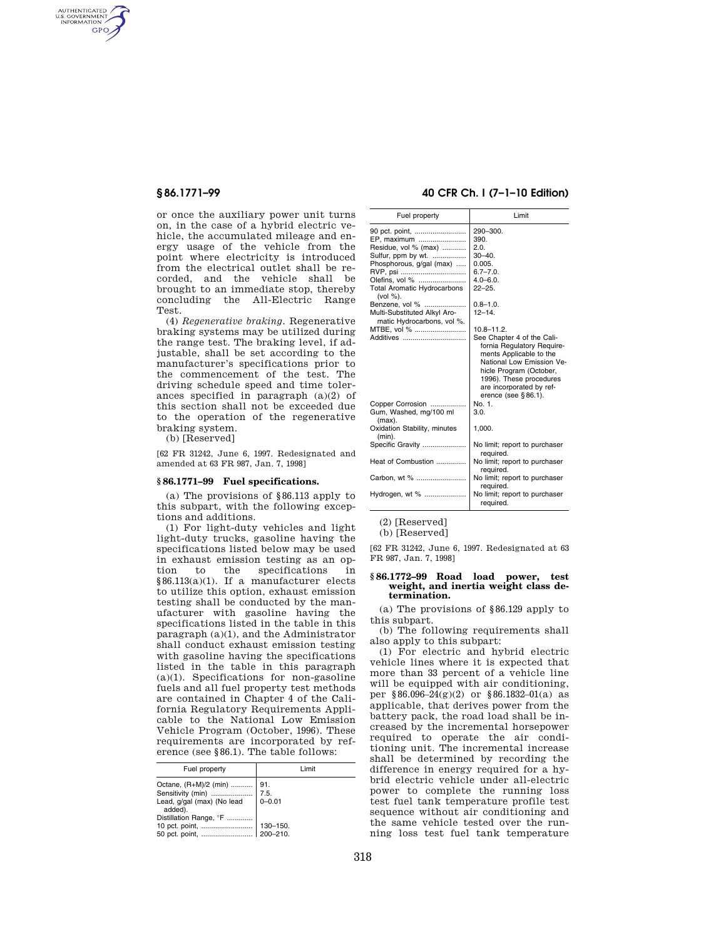AUTHENTICATED<br>U.S. GOVERNMENT<br>INFORMATION **GPO** 

> or once the auxiliary power unit turns on, in the case of a hybrid electric vehicle, the accumulated mileage and energy usage of the vehicle from the point where electricity is introduced from the electrical outlet shall be recorded, and the vehicle shall be brought to an immediate stop, thereby concluding the All-Electric Range Test.

> (4) *Regenerative braking.* Regenerative braking systems may be utilized during the range test. The braking level, if adjustable, shall be set according to the manufacturer's specifications prior to the commencement of the test. The driving schedule speed and time tolerances specified in paragraph (a)(2) of this section shall not be exceeded due to the operation of the regenerative braking system.

(b) [Reserved]

[62 FR 31242, June 6, 1997. Redesignated and amended at 63 FR 987, Jan. 7, 1998]

#### **§ 86.1771–99 Fuel specifications.**

(a) The provisions of §86.113 apply to this subpart, with the following exceptions and additions.

(1) For light-duty vehicles and light light-duty trucks, gasoline having the specifications listed below may be used in exhaust emission testing as an option to the specifications in §86.113(a)(1). If a manufacturer elects to utilize this option, exhaust emission testing shall be conducted by the manufacturer with gasoline having the specifications listed in the table in this paragraph  $(a)(1)$ , and the Administrator shall conduct exhaust emission testing with gasoline having the specifications listed in the table in this paragraph  $(a)(1)$ . Specifications for non-gasoline fuels and all fuel property test methods are contained in Chapter 4 of the California Regulatory Requirements Applicable to the National Low Emission Vehicle Program (October, 1996). These requirements are incorporated by reference (see §86.1). The table follows:

| Fuel property                                                                                   | Limit      |
|-------------------------------------------------------------------------------------------------|------------|
| Octane, (R+M)/2 (min)    91.<br>Lead, g/gal (max) (No lead<br>added).<br>Distillation Range, °F | $0 - 0.01$ |
|                                                                                                 |            |

# **§ 86.1771–99 40 CFR Ch. I (7–1–10 Edition)**

| Fuel property                                                                                                                                                                                                                             | Limit                                                                                                                                                                                                                                            |
|-------------------------------------------------------------------------------------------------------------------------------------------------------------------------------------------------------------------------------------------|--------------------------------------------------------------------------------------------------------------------------------------------------------------------------------------------------------------------------------------------------|
| 90 pct. point,<br>EP. maximum<br>Residue, vol % (max)<br>Sulfur, ppm by wt.<br>Phosphorous, g/gal (max)<br>RVP, psi<br>Olefins, vol %<br><b>Total Aromatic Hydrocarbons</b><br>(vol %).<br>Benzene, vol %<br>Multi-Substituted Alkyl Aro- | 290-300.<br>390.<br>2.0.<br>$30 - 40$ .<br>0.005.<br>$6.7 - 7.0.$<br>$4.0 - 6.0.$<br>$22 - 25$ .<br>$0.8 - 1.0$ .<br>$12 - 14.$                                                                                                                  |
| matic Hydrocarbons, vol %.<br>MTBE, vol %<br>Additives                                                                                                                                                                                    | $10.8 - 11.2$ .<br>See Chapter 4 of the Cali-<br>fornia Regulatory Require-<br>ments Applicable to the<br>National Low Emission Ve-<br>hicle Program (October,<br>1996). These procedures<br>are incorporated by ref-<br>erence (see $§ 86.1$ ). |
| Copper Corrosion<br>Gum, Washed, mg/100 ml<br>(max).                                                                                                                                                                                      | No. 1.<br>3.0.                                                                                                                                                                                                                                   |
| Oxidation Stability, minutes<br>(min).                                                                                                                                                                                                    | 1,000.                                                                                                                                                                                                                                           |
| Specific Gravity                                                                                                                                                                                                                          | No limit; report to purchaser<br>required.                                                                                                                                                                                                       |
| Heat of Combustion                                                                                                                                                                                                                        | No limit; report to purchaser<br>required.                                                                                                                                                                                                       |
| Carbon, wt %                                                                                                                                                                                                                              | No limit; report to purchaser<br>required.                                                                                                                                                                                                       |
| Hydrogen, wt %                                                                                                                                                                                                                            | No limit; report to purchaser<br>required.                                                                                                                                                                                                       |
|                                                                                                                                                                                                                                           |                                                                                                                                                                                                                                                  |

(2) [Reserved]

(b) [Reserved]

[62 FR 31242, June 6, 1997. Redesignated at 63 FR 987, Jan. 7, 1998]

### **§ 86.1772–99 Road load power, test weight, and inertia weight class determination.**

(a) The provisions of §86.129 apply to this subpart.

(b) The following requirements shall also apply to this subpart:

(1) For electric and hybrid electric vehicle lines where it is expected that more than 33 percent of a vehicle line will be equipped with air conditioning, per §86.096–24(g)(2) or §86.1832–01(a) as applicable, that derives power from the battery pack, the road load shall be increased by the incremental horsepower required to operate the air conditioning unit. The incremental increase shall be determined by recording the difference in energy required for a hybrid electric vehicle under all-electric power to complete the running loss test fuel tank temperature profile test sequence without air conditioning and the same vehicle tested over the running loss test fuel tank temperature